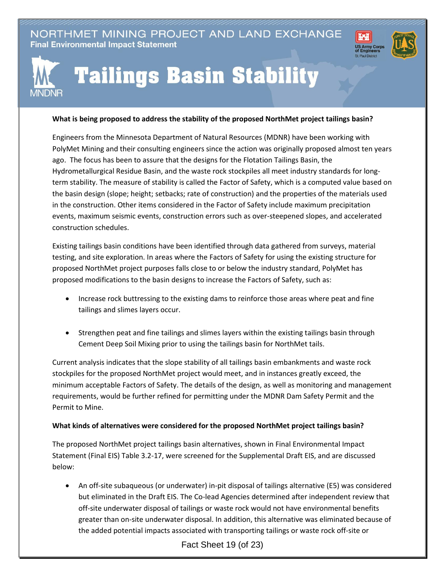NORTHMET MINING PROJECT AND LAND EXCHANGE **Final Environmental Impact Statement** 





## **Tailings Basin Stability**

## **What is being proposed to address the stability of the proposed NorthMet project tailings basin?**

Engineers from the Minnesota Department of Natural Resources (MDNR) have been working with PolyMet Mining and their consulting engineers since the action was originally proposed almost ten years ago. The focus has been to assure that the designs for the Flotation Tailings Basin, the Hydrometallurgical Residue Basin, and the waste rock stockpiles all meet industry standards for longterm stability. The measure of stability is called the Factor of Safety, which is a computed value based on the basin design (slope; height; setbacks; rate of construction) and the properties of the materials used in the construction. Other items considered in the Factor of Safety include maximum precipitation events, maximum seismic events, construction errors such as over-steepened slopes, and accelerated construction schedules.

Existing tailings basin conditions have been identified through data gathered from surveys, material testing, and site exploration. In areas where the Factors of Safety for using the existing structure for proposed NorthMet project purposes falls close to or below the industry standard, PolyMet has proposed modifications to the basin designs to increase the Factors of Safety, such as:

- Increase rock buttressing to the existing dams to reinforce those areas where peat and fine tailings and slimes layers occur.
- Strengthen peat and fine tailings and slimes layers within the existing tailings basin through Cement Deep Soil Mixing prior to using the tailings basin for NorthMet tails.

Current analysis indicates that the slope stability of all tailings basin embankments and waste rock stockpiles for the proposed NorthMet project would meet, and in instances greatly exceed, the minimum acceptable Factors of Safety. The details of the design, as well as monitoring and management requirements, would be further refined for permitting under the MDNR Dam Safety Permit and the Permit to Mine.

## **What kinds of alternatives were considered for the proposed NorthMet project tailings basin?**

The proposed NorthMet project tailings basin alternatives, shown in Final Environmental Impact Statement (Final EIS) Table 3.2-17, were screened for the Supplemental Draft EIS, and are discussed below:

 An off-site subaqueous (or underwater) in-pit disposal of tailings alternative (E5) was considered but eliminated in the Draft EIS. The Co-lead Agencies determined after independent review that off-site underwater disposal of tailings or waste rock would not have environmental benefits greater than on-site underwater disposal. In addition, this alternative was eliminated because of the added potential impacts associated with transporting tailings or waste rock off-site or

Fact Sheet 19 (of 23)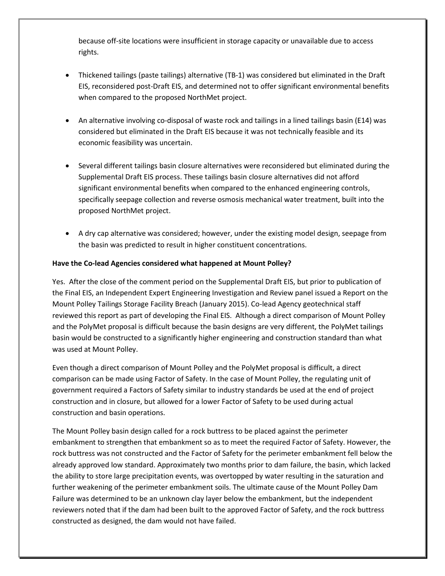because off-site locations were insufficient in storage capacity or unavailable due to access rights.

- Thickened tailings (paste tailings) alternative (TB-1) was considered but eliminated in the Draft EIS, reconsidered post-Draft EIS, and determined not to offer significant environmental benefits when compared to the proposed NorthMet project.
- An alternative involving co-disposal of waste rock and tailings in a lined tailings basin (E14) was considered but eliminated in the Draft EIS because it was not technically feasible and its economic feasibility was uncertain.
- Several different tailings basin closure alternatives were reconsidered but eliminated during the Supplemental Draft EIS process. These tailings basin closure alternatives did not afford significant environmental benefits when compared to the enhanced engineering controls, specifically seepage collection and reverse osmosis mechanical water treatment, built into the proposed NorthMet project.
- A dry cap alternative was considered; however, under the existing model design, seepage from the basin was predicted to result in higher constituent concentrations.

## **Have the Co-lead Agencies considered what happened at Mount Polley?**

Yes. After the close of the comment period on the Supplemental Draft EIS, but prior to publication of the Final EIS, an Independent Expert Engineering Investigation and Review panel issued a Report on the Mount Polley Tailings Storage Facility Breach (January 2015). Co-lead Agency geotechnical staff reviewed this report as part of developing the Final EIS. Although a direct comparison of Mount Polley and the PolyMet proposal is difficult because the basin designs are very different, the PolyMet tailings basin would be constructed to a significantly higher engineering and construction standard than what was used at Mount Polley.

Even though a direct comparison of Mount Polley and the PolyMet proposal is difficult, a direct comparison can be made using Factor of Safety. In the case of Mount Polley, the regulating unit of government required a Factors of Safety similar to industry standards be used at the end of project construction and in closure, but allowed for a lower Factor of Safety to be used during actual construction and basin operations.

The Mount Polley basin design called for a rock buttress to be placed against the perimeter embankment to strengthen that embankment so as to meet the required Factor of Safety. However, the rock buttress was not constructed and the Factor of Safety for the perimeter embankment fell below the already approved low standard. Approximately two months prior to dam failure, the basin, which lacked the ability to store large precipitation events, was overtopped by water resulting in the saturation and further weakening of the perimeter embankment soils. The ultimate cause of the Mount Polley Dam Failure was determined to be an unknown clay layer below the embankment, but the independent reviewers noted that if the dam had been built to the approved Factor of Safety, and the rock buttress constructed as designed, the dam would not have failed.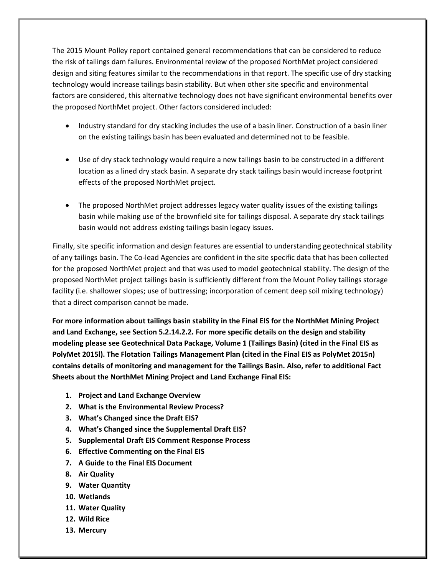The 2015 Mount Polley report contained general recommendations that can be considered to reduce the risk of tailings dam failures. Environmental review of the proposed NorthMet project considered design and siting features similar to the recommendations in that report. The specific use of dry stacking technology would increase tailings basin stability. But when other site specific and environmental factors are considered, this alternative technology does not have significant environmental benefits over the proposed NorthMet project. Other factors considered included:

- Industry standard for dry stacking includes the use of a basin liner. Construction of a basin liner on the existing tailings basin has been evaluated and determined not to be feasible.
- Use of dry stack technology would require a new tailings basin to be constructed in a different location as a lined dry stack basin. A separate dry stack tailings basin would increase footprint effects of the proposed NorthMet project.
- The proposed NorthMet project addresses legacy water quality issues of the existing tailings basin while making use of the brownfield site for tailings disposal. A separate dry stack tailings basin would not address existing tailings basin legacy issues.

Finally, site specific information and design features are essential to understanding geotechnical stability of any tailings basin. The Co-lead Agencies are confident in the site specific data that has been collected for the proposed NorthMet project and that was used to model geotechnical stability. The design of the proposed NorthMet project tailings basin is sufficiently different from the Mount Polley tailings storage facility (i.e. shallower slopes; use of buttressing; incorporation of cement deep soil mixing technology) that a direct comparison cannot be made.

**For more information about tailings basin stability in the Final EIS for the NorthMet Mining Project and Land Exchange, see Section 5.2.14.2.2. For more specific details on the design and stability modeling please see Geotechnical Data Package, Volume 1 (Tailings Basin) (cited in the Final EIS as PolyMet 2015l). The Flotation Tailings Management Plan (cited in the Final EIS as PolyMet 2015n) contains details of monitoring and management for the Tailings Basin. Also, refer to additional Fact Sheets about the NorthMet Mining Project and Land Exchange Final EIS:**

- **1. Project and Land Exchange Overview**
- **2. What is the Environmental Review Process?**
- **3. What's Changed since the Draft EIS?**
- **4. What's Changed since the Supplemental Draft EIS?**
- **5. Supplemental Draft EIS Comment Response Process**
- **6. Effective Commenting on the Final EIS**
- **7. A Guide to the Final EIS Document**
- **8. Air Quality**
- **9. Water Quantity**
- **10. Wetlands**
- **11. Water Quality**
- **12. Wild Rice**
- **13. Mercury**